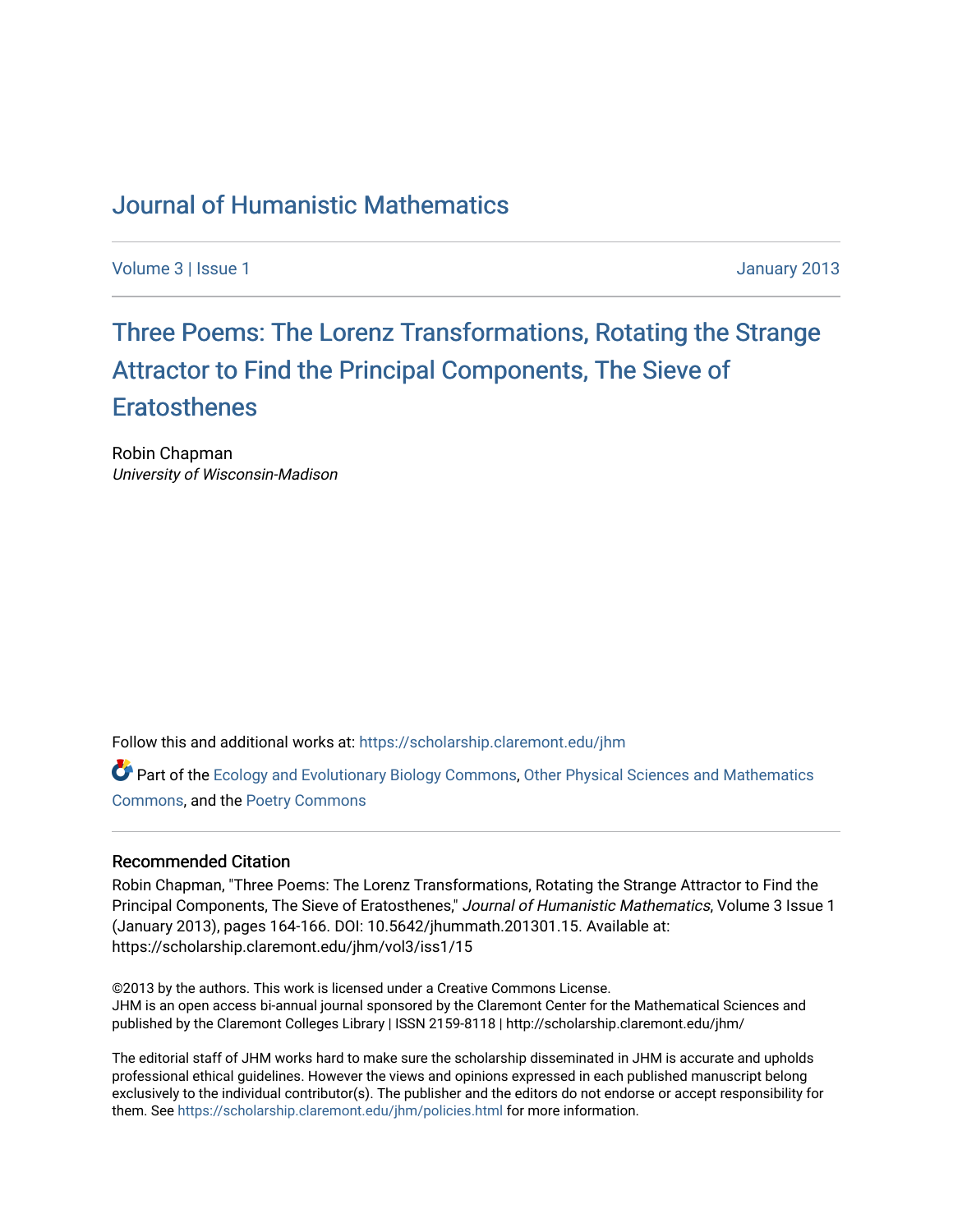## [Journal of Humanistic Mathematics](https://scholarship.claremont.edu/jhm)

[Volume 3](https://scholarship.claremont.edu/jhm/vol3) | [Issue 1](https://scholarship.claremont.edu/jhm/vol3/iss1) January 2013

# Three P[oems: The Lorenz Transformations, Rotating the Str](https://scholarship.claremont.edu/jhm/vol3/iss1/15)ange [Attractor to Find the Principal Components, The Sie](https://scholarship.claremont.edu/jhm/vol3/iss1/15)ve of **[Eratosthenes](https://scholarship.claremont.edu/jhm/vol3/iss1/15)**

Robin Chapman University of Wisconsin-Madison

Follow this and additional works at: [https://scholarship.claremont.edu/jhm](https://scholarship.claremont.edu/jhm?utm_source=scholarship.claremont.edu%2Fjhm%2Fvol3%2Fiss1%2F15&utm_medium=PDF&utm_campaign=PDFCoverPages)

**P** Part of the [Ecology and Evolutionary Biology Commons](http://network.bepress.com/hgg/discipline/14?utm_source=scholarship.claremont.edu%2Fjhm%2Fvol3%2Fiss1%2F15&utm_medium=PDF&utm_campaign=PDFCoverPages), [Other Physical Sciences and Mathematics](http://network.bepress.com/hgg/discipline/216?utm_source=scholarship.claremont.edu%2Fjhm%2Fvol3%2Fiss1%2F15&utm_medium=PDF&utm_campaign=PDFCoverPages) [Commons](http://network.bepress.com/hgg/discipline/216?utm_source=scholarship.claremont.edu%2Fjhm%2Fvol3%2Fiss1%2F15&utm_medium=PDF&utm_campaign=PDFCoverPages), and the [Poetry Commons](http://network.bepress.com/hgg/discipline/1153?utm_source=scholarship.claremont.edu%2Fjhm%2Fvol3%2Fiss1%2F15&utm_medium=PDF&utm_campaign=PDFCoverPages)

#### Recommended Citation

Robin Chapman, "Three Poems: The Lorenz Transformations, Rotating the Strange Attractor to Find the Principal Components, The Sieve of Eratosthenes," Journal of Humanistic Mathematics, Volume 3 Issue 1 (January 2013), pages 164-166. DOI: 10.5642/jhummath.201301.15. Available at: https://scholarship.claremont.edu/jhm/vol3/iss1/15

©2013 by the authors. This work is licensed under a Creative Commons License. JHM is an open access bi-annual journal sponsored by the Claremont Center for the Mathematical Sciences and published by the Claremont Colleges Library | ISSN 2159-8118 | http://scholarship.claremont.edu/jhm/

The editorial staff of JHM works hard to make sure the scholarship disseminated in JHM is accurate and upholds professional ethical guidelines. However the views and opinions expressed in each published manuscript belong exclusively to the individual contributor(s). The publisher and the editors do not endorse or accept responsibility for them. See<https://scholarship.claremont.edu/jhm/policies.html> for more information.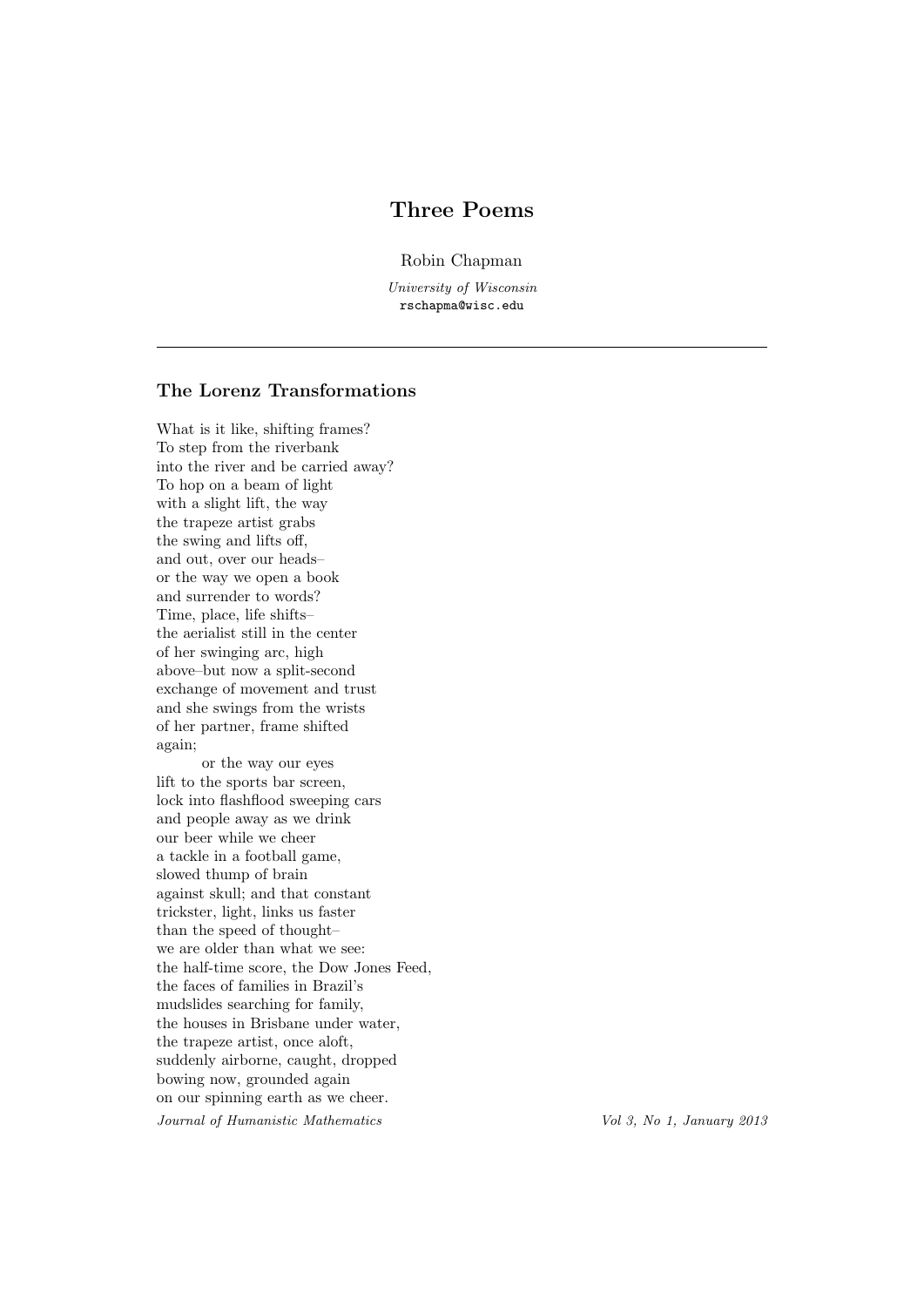## Three Poems

Robin Chapman

University of Wisconsin rschapma@wisc.edu

## The Lorenz Transformations

What is it like, shifting frames? To step from the riverbank into the river and be carried away? To hop on a beam of light with a slight lift, the way the trapeze artist grabs the swing and lifts off, and out, over our heads– or the way we open a book and surrender to words? Time, place, life shifts– the aerialist still in the center of her swinging arc, high above–but now a split-second exchange of movement and trust and she swings from the wrists of her partner, frame shifted again;

or the way our eyes lift to the sports bar screen, lock into flashflood sweeping cars and people away as we drink our beer while we cheer a tackle in a football game, slowed thump of brain against skull; and that constant trickster, light, links us faster than the speed of thought– we are older than what we see: the half-time score, the Dow Jones Feed, the faces of families in Brazil's mudslides searching for family, the houses in Brisbane under water, the trapeze artist, once aloft, suddenly airborne, caught, dropped bowing now, grounded again on our spinning earth as we cheer. Journal of Humanistic Mathematics Vol 3, No 1, January 2013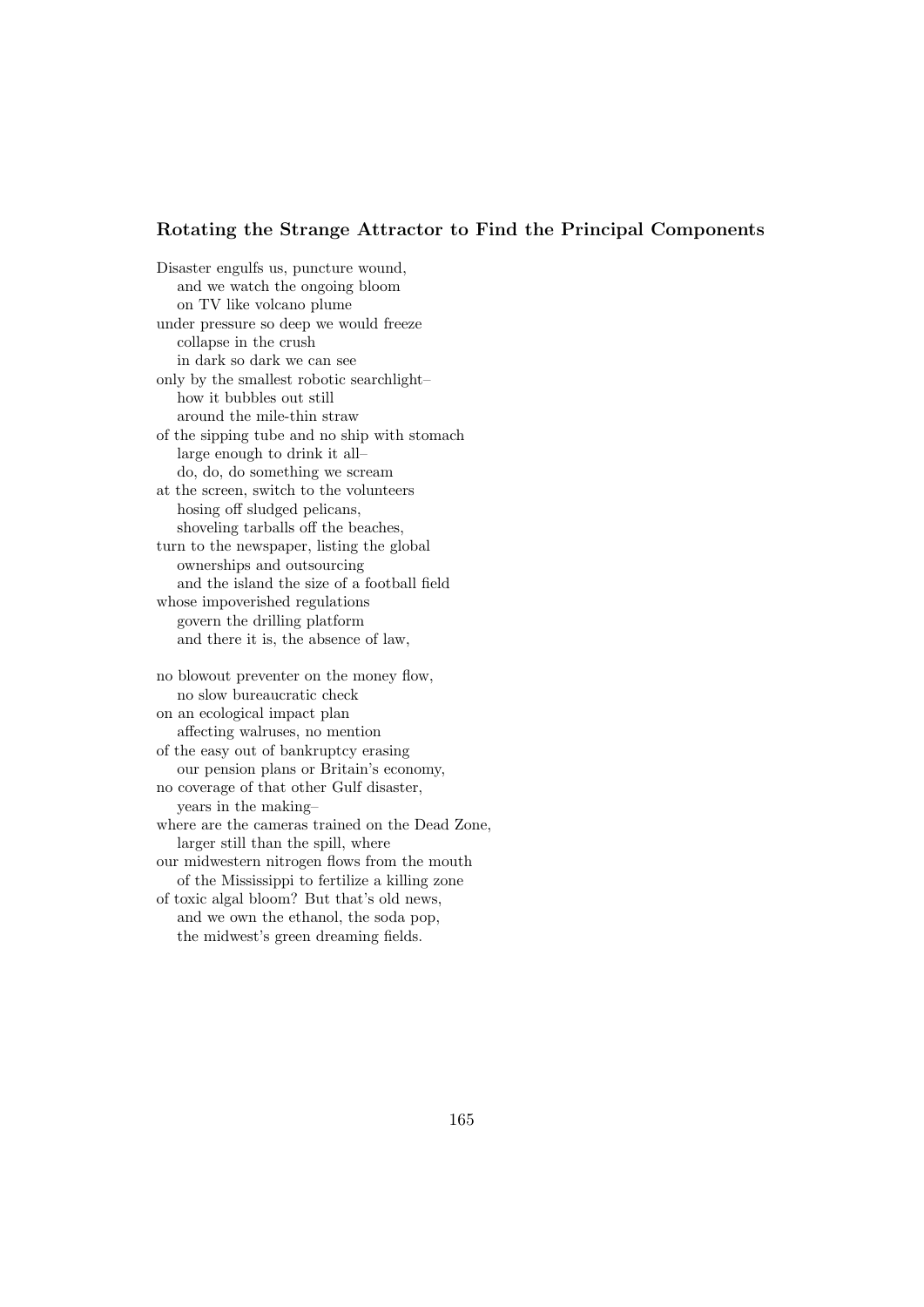### Rotating the Strange Attractor to Find the Principal Components

Disaster engulfs us, puncture wound, and we watch the ongoing bloom on TV like volcano plume under pressure so deep we would freeze collapse in the crush in dark so dark we can see only by the smallest robotic searchlight– how it bubbles out still around the mile-thin straw of the sipping tube and no ship with stomach large enough to drink it all– do, do, do something we scream at the screen, switch to the volunteers hosing off sludged pelicans, shoveling tarballs off the beaches, turn to the newspaper, listing the global ownerships and outsourcing and the island the size of a football field whose impoverished regulations govern the drilling platform and there it is, the absence of law, no blowout preventer on the money flow, no slow bureaucratic check on an ecological impact plan affecting walruses, no mention of the easy out of bankruptcy erasing our pension plans or Britain's economy, no coverage of that other Gulf disaster, years in the making–

where are the cameras trained on the Dead Zone, larger still than the spill, where

our midwestern nitrogen flows from the mouth of the Mississippi to fertilize a killing zone

of toxic algal bloom? But that's old news, and we own the ethanol, the soda pop, the midwest's green dreaming fields.